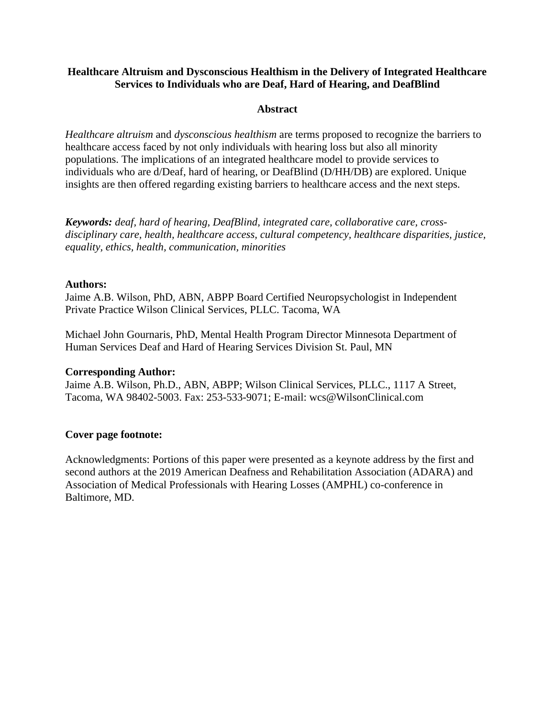## **Healthcare Altruism and Dysconscious Healthism in the Delivery of Integrated Healthcare Services to Individuals who are Deaf, Hard of Hearing, and DeafBlind**

### **Abstract**

*Healthcare altruism* and *dysconscious healthism* are terms proposed to recognize the barriers to healthcare access faced by not only individuals with hearing loss but also all minority populations. The implications of an integrated healthcare model to provide services to individuals who are d/Deaf, hard of hearing, or DeafBlind (D/HH/DB) are explored. Unique insights are then offered regarding existing barriers to healthcare access and the next steps.

*Keywords: deaf, hard of hearing, DeafBlind, integrated care, collaborative care, crossdisciplinary care, health, healthcare access, cultural competency, healthcare disparities, justice, equality, ethics, health, communication, minorities*

### **Authors:**

Jaime A.B. Wilson, PhD, ABN, ABPP Board Certified Neuropsychologist in Independent Private Practice Wilson Clinical Services, PLLC. Tacoma, WA

Michael John Gournaris, PhD, Mental Health Program Director Minnesota Department of Human Services Deaf and Hard of Hearing Services Division St. Paul, MN

### **Corresponding Author:**

Jaime A.B. Wilson, Ph.D., ABN, ABPP; Wilson Clinical Services, PLLC., 1117 A Street, Tacoma, WA 98402-5003. Fax: 253-533-9071; E-mail: wcs@WilsonClinical.com

### **Cover page footnote:**

Acknowledgments: Portions of this paper were presented as a keynote address by the first and second authors at the 2019 American Deafness and Rehabilitation Association (ADARA) and Association of Medical Professionals with Hearing Losses (AMPHL) co-conference in Baltimore, MD.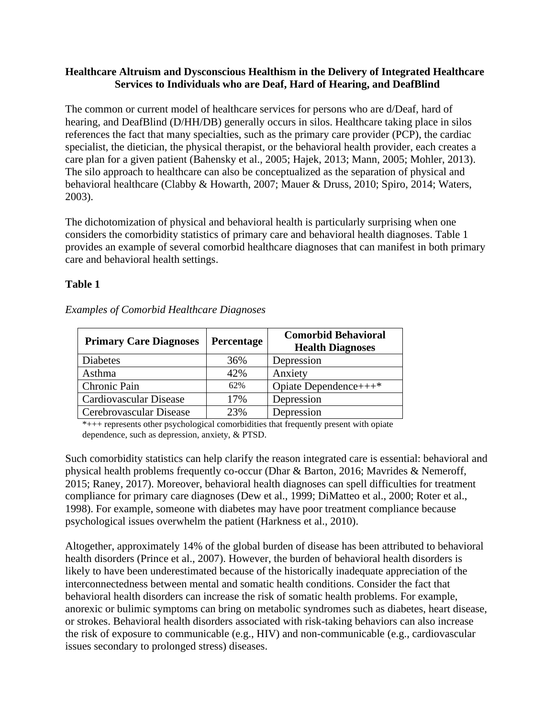### **Healthcare Altruism and Dysconscious Healthism in the Delivery of Integrated Healthcare Services to Individuals who are Deaf, Hard of Hearing, and DeafBlind**

The common or current model of healthcare services for persons who are d/Deaf, hard of hearing, and DeafBlind (D/HH/DB) generally occurs in silos. Healthcare taking place in silos references the fact that many specialties, such as the primary care provider (PCP), the cardiac specialist, the dietician, the physical therapist, or the behavioral health provider, each creates a care plan for a given patient (Bahensky et al., 2005; Hajek, 2013; Mann, 2005; Mohler, 2013). The silo approach to healthcare can also be conceptualized as the separation of physical and behavioral healthcare (Clabby & Howarth, 2007; Mauer & Druss, 2010; Spiro, 2014; Waters, 2003).

The dichotomization of physical and behavioral health is particularly surprising when one considers the comorbidity statistics of primary care and behavioral health diagnoses. Table 1 provides an example of several comorbid healthcare diagnoses that can manifest in both primary care and behavioral health settings.

# **Table 1**

| <b>Primary Care Diagnoses</b> | <b>Percentage</b> | <b>Comorbid Behavioral</b><br><b>Health Diagnoses</b> |
|-------------------------------|-------------------|-------------------------------------------------------|
| <b>Diabetes</b>               | 36%               | Depression                                            |
| Asthma                        | 42%               | Anxiety                                               |
| Chronic Pain                  | 62%               | Opiate Dependence+++*                                 |
| <b>Cardiovascular Disease</b> | 17%               | Depression                                            |
| Cerebrovascular Disease       | 23%               | Depression                                            |

*Examples of Comorbid Healthcare Diagnoses*

\*+++ represents other psychological comorbidities that frequently present with opiate dependence, such as depression, anxiety, & PTSD.

Such comorbidity statistics can help clarify the reason integrated care is essential: behavioral and physical health problems frequently co-occur (Dhar & Barton, 2016; Mavrides & Nemeroff, 2015; Raney, 2017). Moreover, behavioral health diagnoses can spell difficulties for treatment compliance for primary care diagnoses (Dew et al., 1999; DiMatteo et al., 2000; Roter et al., 1998). For example, someone with diabetes may have poor treatment compliance because psychological issues overwhelm the patient (Harkness et al., 2010).

Altogether, approximately 14% of the global burden of disease has been attributed to behavioral health disorders (Prince et al., 2007). However, the burden of behavioral health disorders is likely to have been underestimated because of the historically inadequate appreciation of the interconnectedness between mental and somatic health conditions. Consider the fact that behavioral health disorders can increase the risk of somatic health problems. For example, anorexic or bulimic symptoms can bring on metabolic syndromes such as diabetes, heart disease, or strokes. Behavioral health disorders associated with risk-taking behaviors can also increase the risk of exposure to communicable (e.g., HIV) and non-communicable (e.g., cardiovascular issues secondary to prolonged stress) diseases.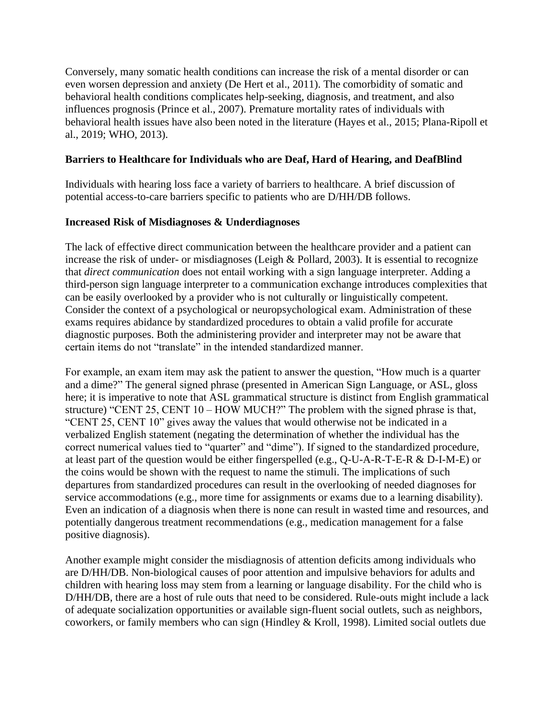Conversely, many somatic health conditions can increase the risk of a mental disorder or can even worsen depression and anxiety (De Hert et al., 2011). The comorbidity of somatic and behavioral health conditions complicates help-seeking, diagnosis, and treatment, and also influences prognosis (Prince et al., 2007). Premature mortality rates of individuals with behavioral health issues have also been noted in the literature (Hayes et al., 2015; Plana-Ripoll et al., 2019; WHO, 2013).

# **Barriers to Healthcare for Individuals who are Deaf, Hard of Hearing, and DeafBlind**

Individuals with hearing loss face a variety of barriers to healthcare. A brief discussion of potential access-to-care barriers specific to patients who are D/HH/DB follows.

# **Increased Risk of Misdiagnoses & Underdiagnoses**

The lack of effective direct communication between the healthcare provider and a patient can increase the risk of under- or misdiagnoses (Leigh & Pollard, 2003). It is essential to recognize that *direct communication* does not entail working with a sign language interpreter. Adding a third-person sign language interpreter to a communication exchange introduces complexities that can be easily overlooked by a provider who is not culturally or linguistically competent. Consider the context of a psychological or neuropsychological exam. Administration of these exams requires abidance by standardized procedures to obtain a valid profile for accurate diagnostic purposes. Both the administering provider and interpreter may not be aware that certain items do not "translate" in the intended standardized manner.

For example, an exam item may ask the patient to answer the question, "How much is a quarter and a dime?" The general signed phrase (presented in American Sign Language, or ASL, gloss here; it is imperative to note that ASL grammatical structure is distinct from English grammatical structure) "CENT 25, CENT 10 – HOW MUCH?" The problem with the signed phrase is that, "CENT 25, CENT 10" gives away the values that would otherwise not be indicated in a verbalized English statement (negating the determination of whether the individual has the correct numerical values tied to "quarter" and "dime"). If signed to the standardized procedure*,*  at least part of the question would be either fingerspelled (e.g., Q-U-A-R-T-E-R & D-I-M-E) or the coins would be shown with the request to name the stimuli. The implications of such departures from standardized procedures can result in the overlooking of needed diagnoses for service accommodations (e.g., more time for assignments or exams due to a learning disability). Even an indication of a diagnosis when there is none can result in wasted time and resources, and potentially dangerous treatment recommendations (e.g., medication management for a false positive diagnosis).

Another example might consider the misdiagnosis of attention deficits among individuals who are D/HH/DB. Non-biological causes of poor attention and impulsive behaviors for adults and children with hearing loss may stem from a learning or language disability. For the child who is D/HH/DB, there are a host of rule outs that need to be considered. Rule-outs might include a lack of adequate socialization opportunities or available sign-fluent social outlets, such as neighbors, coworkers, or family members who can sign (Hindley & Kroll, 1998). Limited social outlets due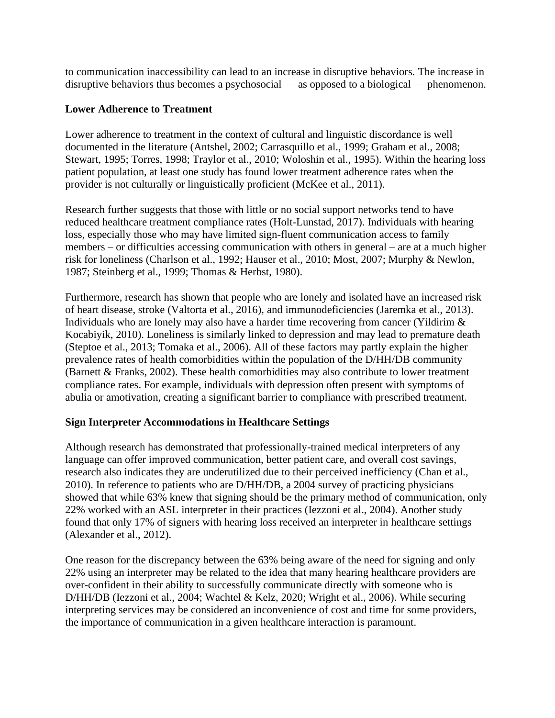to communication inaccessibility can lead to an increase in disruptive behaviors. The increase in disruptive behaviors thus becomes a psychosocial — as opposed to a biological — phenomenon.

## **Lower Adherence to Treatment**

Lower adherence to treatment in the context of cultural and linguistic discordance is well documented in the literature (Antshel, 2002; Carrasquillo et al., 1999; Graham et al., 2008; Stewart, 1995; Torres, 1998; Traylor et al., 2010; Woloshin et al., 1995). Within the hearing loss patient population, at least one study has found lower treatment adherence rates when the provider is not culturally or linguistically proficient (McKee et al., 2011).

Research further suggests that those with little or no social support networks tend to have reduced healthcare treatment compliance rates (Holt-Lunstad, 2017). Individuals with hearing loss, especially those who may have limited sign-fluent communication access to family members – or difficulties accessing communication with others in general – are at a much higher risk for loneliness (Charlson et al., 1992; Hauser et al., 2010; Most, 2007; Murphy & Newlon, 1987; Steinberg et al., 1999; Thomas & Herbst, 1980).

Furthermore, research has shown that people who are lonely and isolated have an increased risk of heart disease, stroke (Valtorta et al., 2016), and immunodeficiencies (Jaremka et al., 2013). Individuals who are lonely may also have a harder time recovering from cancer (Yildirim & Kocabiyik, 2010). Loneliness is similarly linked to depression and may lead to premature death (Steptoe et al., 2013; Tomaka et al., 2006). All of these factors may partly explain the higher prevalence rates of health comorbidities within the population of the D/HH/DB community (Barnett & Franks, 2002). These health comorbidities may also contribute to lower treatment compliance rates. For example, individuals with depression often present with symptoms of abulia or amotivation, creating a significant barrier to compliance with prescribed treatment.

# **Sign Interpreter Accommodations in Healthcare Settings**

Although research has demonstrated that professionally-trained medical interpreters of any language can offer improved communication, better patient care, and overall cost savings, research also indicates they are underutilized due to their perceived inefficiency (Chan et al., 2010). In reference to patients who are D/HH/DB, a 2004 survey of practicing physicians showed that while 63% knew that signing should be the primary method of communication, only 22% worked with an ASL interpreter in their practices (Iezzoni et al., 2004). Another study found that only 17% of signers with hearing loss received an interpreter in healthcare settings (Alexander et al., 2012).

One reason for the discrepancy between the 63% being aware of the need for signing and only 22% using an interpreter may be related to the idea that many hearing healthcare providers are over-confident in their ability to successfully communicate directly with someone who is D/HH/DB (Iezzoni et al., 2004; Wachtel & Kelz, 2020; Wright et al., 2006). While securing interpreting services may be considered an inconvenience of cost and time for some providers, the importance of communication in a given healthcare interaction is paramount.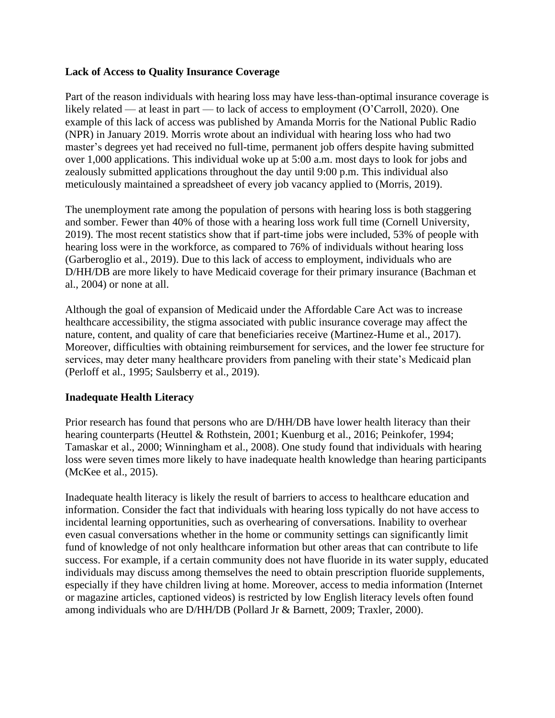### **Lack of Access to Quality Insurance Coverage**

Part of the reason individuals with hearing loss may have less-than-optimal insurance coverage is likely related — at least in part — to lack of access to employment (O'Carroll, 2020). One example of this lack of access was published by Amanda Morris for the National Public Radio (NPR) in January 2019. Morris wrote about an individual with hearing loss who had two master's degrees yet had received no full-time, permanent job offers despite having submitted over 1,000 applications. This individual woke up at 5:00 a.m. most days to look for jobs and zealously submitted applications throughout the day until 9:00 p.m. This individual also meticulously maintained a spreadsheet of every job vacancy applied to (Morris, 2019).

The unemployment rate among the population of persons with hearing loss is both staggering and somber. Fewer than 40% of those with a hearing loss work full time (Cornell University, 2019). The most recent statistics show that if part-time jobs were included, 53% of people with hearing loss were in the workforce, as compared to 76% of individuals without hearing loss (Garberoglio et al., 2019). Due to this lack of access to employment, individuals who are D/HH/DB are more likely to have Medicaid coverage for their primary insurance (Bachman et al., 2004) or none at all.

Although the goal of expansion of Medicaid under the Affordable Care Act was to increase healthcare accessibility, the stigma associated with public insurance coverage may affect the nature, content, and quality of care that beneficiaries receive (Martinez-Hume et al., 2017). Moreover, difficulties with obtaining reimbursement for services, and the lower fee structure for services, may deter many healthcare providers from paneling with their state's Medicaid plan (Perloff et al., 1995; Saulsberry et al., 2019).

### **Inadequate Health Literacy**

Prior research has found that persons who are D/HH/DB have lower health literacy than their hearing counterparts (Heuttel & Rothstein, 2001; Kuenburg et al., 2016; Peinkofer, 1994; Tamaskar et al., 2000; Winningham et al., 2008). One study found that individuals with hearing loss were seven times more likely to have inadequate health knowledge than hearing participants (McKee et al., 2015).

Inadequate health literacy is likely the result of barriers to access to healthcare education and information. Consider the fact that individuals with hearing loss typically do not have access to incidental learning opportunities, such as overhearing of conversations. Inability to overhear even casual conversations whether in the home or community settings can significantly limit fund of knowledge of not only healthcare information but other areas that can contribute to life success. For example, if a certain community does not have fluoride in its water supply, educated individuals may discuss among themselves the need to obtain prescription fluoride supplements, especially if they have children living at home. Moreover, access to media information (Internet or magazine articles, captioned videos) is restricted by low English literacy levels often found among individuals who are D/HH/DB (Pollard Jr & Barnett, 2009; Traxler, 2000).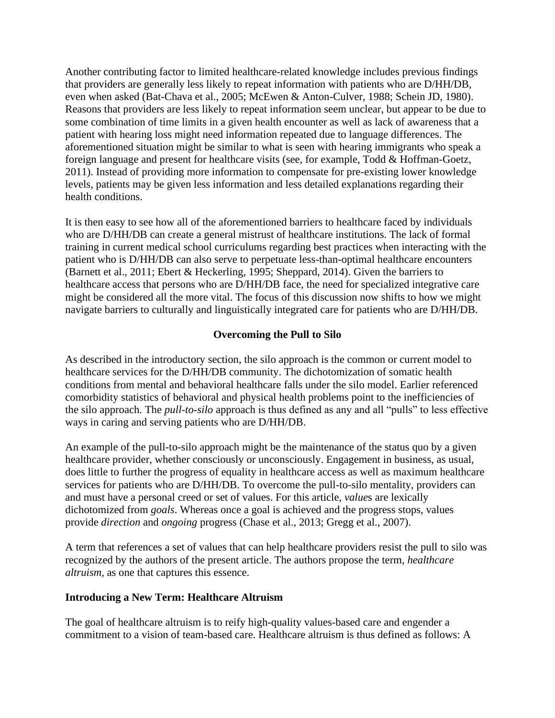Another contributing factor to limited healthcare-related knowledge includes previous findings that providers are generally less likely to repeat information with patients who are D/HH/DB, even when asked (Bat-Chava et al., 2005; McEwen & Anton-Culver, 1988; Schein JD, 1980). Reasons that providers are less likely to repeat information seem unclear, but appear to be due to some combination of time limits in a given health encounter as well as lack of awareness that a patient with hearing loss might need information repeated due to language differences. The aforementioned situation might be similar to what is seen with hearing immigrants who speak a foreign language and present for healthcare visits (see, for example, Todd & Hoffman-Goetz, 2011). Instead of providing more information to compensate for pre-existing lower knowledge levels, patients may be given less information and less detailed explanations regarding their health conditions.

It is then easy to see how all of the aforementioned barriers to healthcare faced by individuals who are D/HH/DB can create a general mistrust of healthcare institutions. The lack of formal training in current medical school curriculums regarding best practices when interacting with the patient who is D/HH/DB can also serve to perpetuate less-than-optimal healthcare encounters (Barnett et al., 2011; Ebert & Heckerling, 1995; Sheppard, 2014). Given the barriers to healthcare access that persons who are D/HH/DB face, the need for specialized integrative care might be considered all the more vital. The focus of this discussion now shifts to how we might navigate barriers to culturally and linguistically integrated care for patients who are D/HH/DB.

# **Overcoming the Pull to Silo**

As described in the introductory section, the silo approach is the common or current model to healthcare services for the D/HH/DB community. The dichotomization of somatic health conditions from mental and behavioral healthcare falls under the silo model. Earlier referenced comorbidity statistics of behavioral and physical health problems point to the inefficiencies of the silo approach. The *pull-to-silo* approach is thus defined as any and all "pulls" to less effective ways in caring and serving patients who are D/HH/DB.

An example of the pull-to-silo approach might be the maintenance of the status quo by a given healthcare provider, whether consciously or unconsciously. Engagement in business, as usual, does little to further the progress of equality in healthcare access as well as maximum healthcare services for patients who are D/HH/DB. To overcome the pull-to-silo mentality, providers can and must have a personal creed or set of values. For this article, *value*s are lexically dichotomized from *goals*. Whereas once a goal is achieved and the progress stops, values provide *direction* and *ongoing* progress (Chase et al., 2013; Gregg et al., 2007).

A term that references a set of values that can help healthcare providers resist the pull to silo was recognized by the authors of the present article. The authors propose the term, *healthcare altruism*, as one that captures this essence.

### **Introducing a New Term: Healthcare Altruism**

The goal of healthcare altruism is to reify high-quality values-based care and engender a commitment to a vision of team-based care. Healthcare altruism is thus defined as follows: A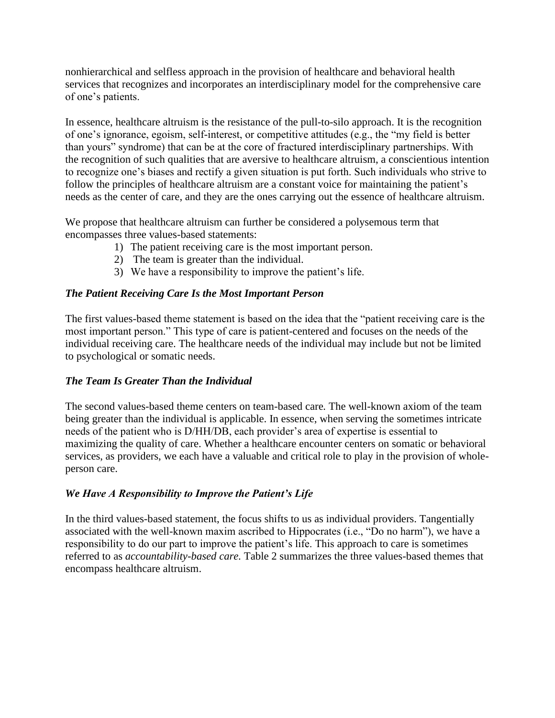nonhierarchical and selfless approach in the provision of healthcare and behavioral health services that recognizes and incorporates an interdisciplinary model for the comprehensive care of one's patients.

In essence, healthcare altruism is the resistance of the pull-to-silo approach. It is the recognition of one's ignorance, egoism, self-interest, or competitive attitudes (e.g., the "my field is better than yours" syndrome) that can be at the core of fractured interdisciplinary partnerships. With the recognition of such qualities that are aversive to healthcare altruism, a conscientious intention to recognize one's biases and rectify a given situation is put forth. Such individuals who strive to follow the principles of healthcare altruism are a constant voice for maintaining the patient's needs as the center of care, and they are the ones carrying out the essence of healthcare altruism.

We propose that healthcare altruism can further be considered a polysemous term that encompasses three values-based statements:

- 1) The patient receiving care is the most important person.
- 2) The team is greater than the individual.
- 3) We have a responsibility to improve the patient's life.

# *The Patient Receiving Care Is the Most Important Person*

The first values-based theme statement is based on the idea that the "patient receiving care is the most important person." This type of care is patient-centered and focuses on the needs of the individual receiving care. The healthcare needs of the individual may include but not be limited to psychological or somatic needs.

# *The Team Is Greater Than the Individual*

The second values-based theme centers on team-based care*.* The well-known axiom of the team being greater than the individual is applicable. In essence, when serving the sometimes intricate needs of the patient who is D/HH/DB, each provider's area of expertise is essential to maximizing the quality of care. Whether a healthcare encounter centers on somatic or behavioral services, as providers, we each have a valuable and critical role to play in the provision of wholeperson care.

# *We Have A Responsibility to Improve the Patient's Life*

In the third values-based statement, the focus shifts to us as individual providers. Tangentially associated with the well-known maxim ascribed to Hippocrates (i.e., "Do no harm"), we have a responsibility to do our part to improve the patient's life. This approach to care is sometimes referred to as *accountability-based care.* Table 2 summarizes the three values-based themes that encompass healthcare altruism.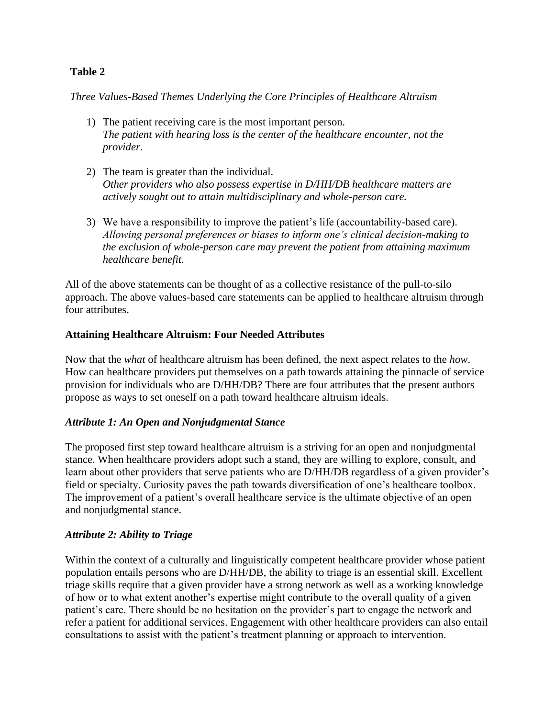# **Table 2**

*Three Values-Based Themes Underlying the Core Principles of Healthcare Altruism*

- 1) The patient receiving care is the most important person. *The patient with hearing loss is the center of the healthcare encounter, not the provider.*
- 2) The team is greater than the individual. *Other providers who also possess expertise in D/HH/DB healthcare matters are actively sought out to attain multidisciplinary and whole-person care.*
- 3) We have a responsibility to improve the patient's life (accountability-based care). *Allowing personal preferences or biases to inform one's clinical decision-making to the exclusion of whole-person care may prevent the patient from attaining maximum healthcare benefit.*

All of the above statements can be thought of as a collective resistance of the pull-to-silo approach. The above values-based care statements can be applied to healthcare altruism through four attributes.

### **Attaining Healthcare Altruism: Four Needed Attributes**

Now that the *what* of healthcare altruism has been defined, the next aspect relates to the *how*. How can healthcare providers put themselves on a path towards attaining the pinnacle of service provision for individuals who are D/HH/DB? There are four attributes that the present authors propose as ways to set oneself on a path toward healthcare altruism ideals.

### *Attribute 1: An Open and Nonjudgmental Stance*

The proposed first step toward healthcare altruism is a striving for an open and nonjudgmental stance. When healthcare providers adopt such a stand, they are willing to explore, consult, and learn about other providers that serve patients who are D/HH/DB regardless of a given provider's field or specialty. Curiosity paves the path towards diversification of one's healthcare toolbox. The improvement of a patient's overall healthcare service is the ultimate objective of an open and nonjudgmental stance.

### *Attribute 2: Ability to Triage*

Within the context of a culturally and linguistically competent healthcare provider whose patient population entails persons who are D/HH/DB, the ability to triage is an essential skill. Excellent triage skills require that a given provider have a strong network as well as a working knowledge of how or to what extent another's expertise might contribute to the overall quality of a given patient's care. There should be no hesitation on the provider's part to engage the network and refer a patient for additional services. Engagement with other healthcare providers can also entail consultations to assist with the patient's treatment planning or approach to intervention.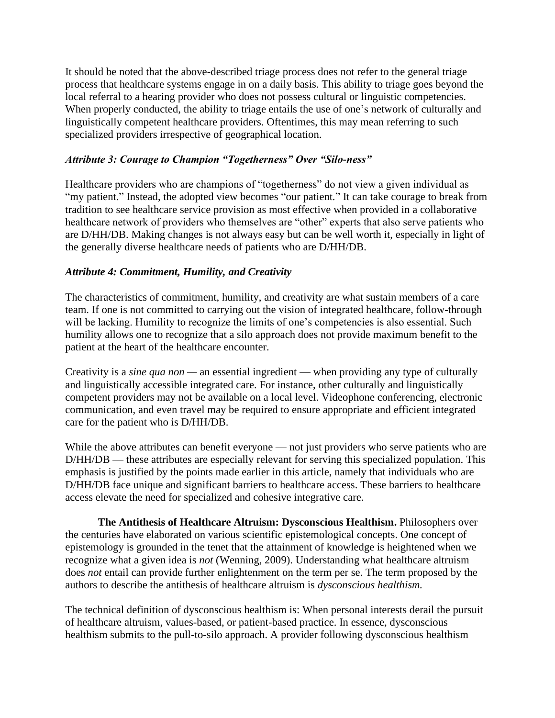It should be noted that the above-described triage process does not refer to the general triage process that healthcare systems engage in on a daily basis. This ability to triage goes beyond the local referral to a hearing provider who does not possess cultural or linguistic competencies. When properly conducted, the ability to triage entails the use of one's network of culturally and linguistically competent healthcare providers. Oftentimes, this may mean referring to such specialized providers irrespective of geographical location.

## *Attribute 3: Courage to Champion "Togetherness" Over "Silo-ness"*

Healthcare providers who are champions of "togetherness" do not view a given individual as "my patient." Instead, the adopted view becomes "our patient." It can take courage to break from tradition to see healthcare service provision as most effective when provided in a collaborative healthcare network of providers who themselves are "other" experts that also serve patients who are D/HH/DB. Making changes is not always easy but can be well worth it, especially in light of the generally diverse healthcare needs of patients who are D/HH/DB.

### *Attribute 4: Commitment, Humility, and Creativity*

The characteristics of commitment, humility, and creativity are what sustain members of a care team. If one is not committed to carrying out the vision of integrated healthcare, follow-through will be lacking. Humility to recognize the limits of one's competencies is also essential. Such humility allows one to recognize that a silo approach does not provide maximum benefit to the patient at the heart of the healthcare encounter.

Creativity is a *sine qua non —* an essential ingredient — when providing any type of culturally and linguistically accessible integrated care. For instance, other culturally and linguistically competent providers may not be available on a local level. Videophone conferencing, electronic communication, and even travel may be required to ensure appropriate and efficient integrated care for the patient who is D/HH/DB.

While the above attributes can benefit everyone — not just providers who serve patients who are D/HH/DB — these attributes are especially relevant for serving this specialized population. This emphasis is justified by the points made earlier in this article, namely that individuals who are D/HH/DB face unique and significant barriers to healthcare access. These barriers to healthcare access elevate the need for specialized and cohesive integrative care.

**The Antithesis of Healthcare Altruism: Dysconscious Healthism.** Philosophers over the centuries have elaborated on various scientific epistemological concepts. One concept of epistemology is grounded in the tenet that the attainment of knowledge is heightened when we recognize what a given idea is *not* (Wenning, 2009). Understanding what healthcare altruism does *not* entail can provide further enlightenment on the term per se. The term proposed by the authors to describe the antithesis of healthcare altruism is *dysconscious healthism.* 

The technical definition of dysconscious healthism is: When personal interests derail the pursuit of healthcare altruism, values-based, or patient-based practice. In essence, dysconscious healthism submits to the pull-to-silo approach. A provider following dysconscious healthism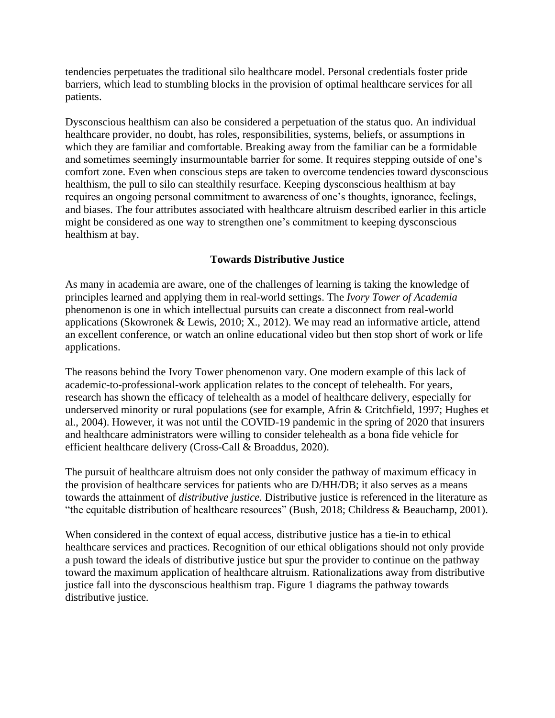tendencies perpetuates the traditional silo healthcare model. Personal credentials foster pride barriers, which lead to stumbling blocks in the provision of optimal healthcare services for all patients.

Dysconscious healthism can also be considered a perpetuation of the status quo. An individual healthcare provider, no doubt, has roles, responsibilities, systems, beliefs, or assumptions in which they are familiar and comfortable. Breaking away from the familiar can be a formidable and sometimes seemingly insurmountable barrier for some. It requires stepping outside of one's comfort zone. Even when conscious steps are taken to overcome tendencies toward dysconscious healthism, the pull to silo can stealthily resurface. Keeping dysconscious healthism at bay requires an ongoing personal commitment to awareness of one's thoughts, ignorance, feelings, and biases. The four attributes associated with healthcare altruism described earlier in this article might be considered as one way to strengthen one's commitment to keeping dysconscious healthism at bay.

# **Towards Distributive Justice**

As many in academia are aware, one of the challenges of learning is taking the knowledge of principles learned and applying them in real-world settings. The *Ivory Tower of Academia* phenomenon is one in which intellectual pursuits can create a disconnect from real-world applications (Skowronek & Lewis, 2010; X., 2012). We may read an informative article, attend an excellent conference, or watch an online educational video but then stop short of work or life applications.

The reasons behind the Ivory Tower phenomenon vary. One modern example of this lack of academic-to-professional-work application relates to the concept of telehealth. For years, research has shown the efficacy of telehealth as a model of healthcare delivery, especially for underserved minority or rural populations (see for example, Afrin & Critchfield, 1997; Hughes et al., 2004). However, it was not until the COVID-19 pandemic in the spring of 2020 that insurers and healthcare administrators were willing to consider telehealth as a bona fide vehicle for efficient healthcare delivery (Cross-Call & Broaddus, 2020).

The pursuit of healthcare altruism does not only consider the pathway of maximum efficacy in the provision of healthcare services for patients who are D/HH/DB; it also serves as a means towards the attainment of *distributive justice.* Distributive justice is referenced in the literature as "the equitable distribution of healthcare resources" (Bush, 2018; Childress & Beauchamp, 2001).

When considered in the context of equal access, distributive justice has a tie-in to ethical healthcare services and practices. Recognition of our ethical obligations should not only provide a push toward the ideals of distributive justice but spur the provider to continue on the pathway toward the maximum application of healthcare altruism. Rationalizations away from distributive justice fall into the dysconscious healthism trap. Figure 1 diagrams the pathway towards distributive justice.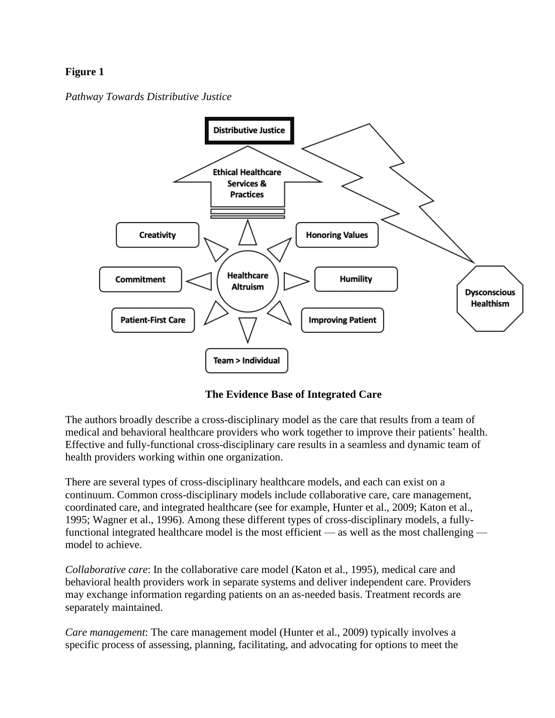# **Figure 1**

*Pathway Towards Distributive Justice* 



**The Evidence Base of Integrated Care**

The authors broadly describe a cross-disciplinary model as the care that results from a team of medical and behavioral healthcare providers who work together to improve their patients' health. Effective and fully-functional cross-disciplinary care results in a seamless and dynamic team of health providers working within one organization.

There are several types of cross-disciplinary healthcare models, and each can exist on a continuum. Common cross-disciplinary models include collaborative care, care management, coordinated care, and integrated healthcare (see for example, Hunter et al., 2009; Katon et al., 1995; Wagner et al., 1996). Among these different types of cross-disciplinary models, a fullyfunctional integrated healthcare model is the most efficient — as well as the most challenging model to achieve.

*Collaborative care*: In the collaborative care model (Katon et al., 1995), medical care and behavioral health providers work in separate systems and deliver independent care. Providers may exchange information regarding patients on an as-needed basis. Treatment records are separately maintained.

*Care management*: The care management model (Hunter et al., 2009) typically involves a specific process of assessing, planning, facilitating, and advocating for options to meet the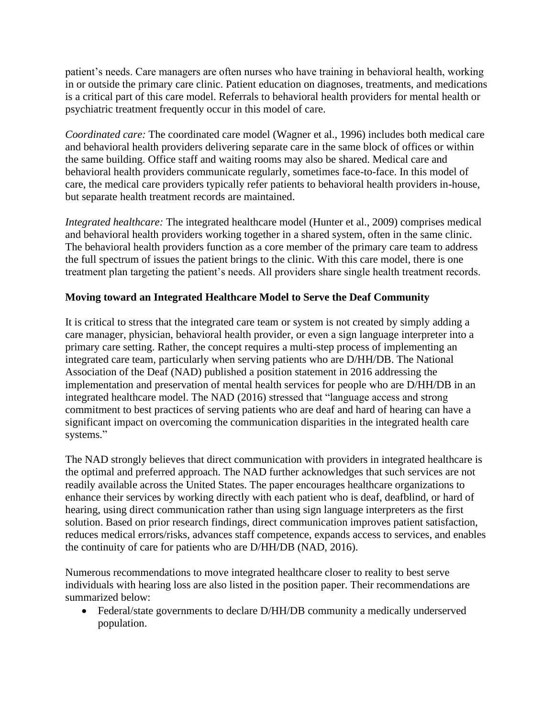patient's needs. Care managers are often nurses who have training in behavioral health, working in or outside the primary care clinic. Patient education on diagnoses, treatments, and medications is a critical part of this care model. Referrals to behavioral health providers for mental health or psychiatric treatment frequently occur in this model of care.

*Coordinated care:* The coordinated care model (Wagner et al., 1996) includes both medical care and behavioral health providers delivering separate care in the same block of offices or within the same building. Office staff and waiting rooms may also be shared. Medical care and behavioral health providers communicate regularly, sometimes face-to-face. In this model of care, the medical care providers typically refer patients to behavioral health providers in-house, but separate health treatment records are maintained.

*Integrated healthcare:* The integrated healthcare model (Hunter et al., 2009) comprises medical and behavioral health providers working together in a shared system, often in the same clinic. The behavioral health providers function as a core member of the primary care team to address the full spectrum of issues the patient brings to the clinic. With this care model, there is one treatment plan targeting the patient's needs. All providers share single health treatment records.

# **Moving toward an Integrated Healthcare Model to Serve the Deaf Community**

It is critical to stress that the integrated care team or system is not created by simply adding a care manager, physician, behavioral health provider, or even a sign language interpreter into a primary care setting. Rather, the concept requires a multi-step process of implementing an integrated care team, particularly when serving patients who are D/HH/DB. The National Association of the Deaf (NAD) published a position statement in 2016 addressing the implementation and preservation of mental health services for people who are D/HH/DB in an integrated healthcare model. The NAD (2016) stressed that "language access and strong commitment to best practices of serving patients who are deaf and hard of hearing can have a significant impact on overcoming the communication disparities in the integrated health care systems."

The NAD strongly believes that direct communication with providers in integrated healthcare is the optimal and preferred approach. The NAD further acknowledges that such services are not readily available across the United States. The paper encourages healthcare organizations to enhance their services by working directly with each patient who is deaf, deafblind, or hard of hearing, using direct communication rather than using sign language interpreters as the first solution. Based on prior research findings, direct communication improves patient satisfaction, reduces medical errors/risks, advances staff competence, expands access to services, and enables the continuity of care for patients who are D/HH/DB (NAD, 2016).

Numerous recommendations to move integrated healthcare closer to reality to best serve individuals with hearing loss are also listed in the position paper. Their recommendations are summarized below:

• Federal/state governments to declare D/HH/DB community a medically underserved population.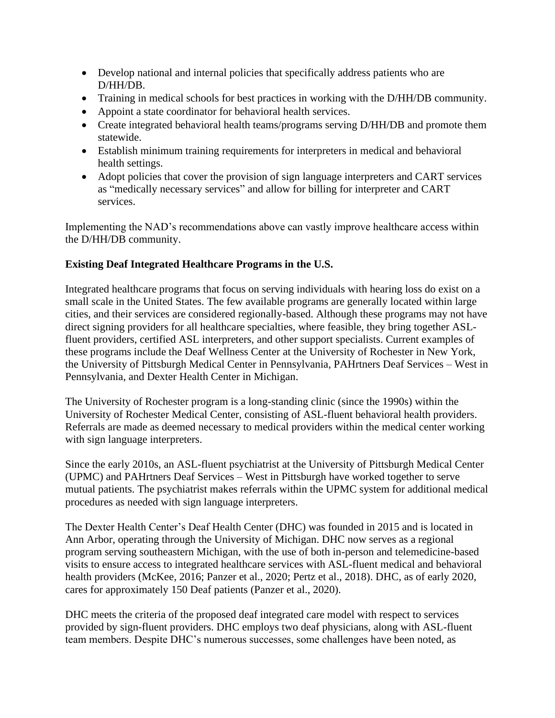- Develop national and internal policies that specifically address patients who are D/HH/DB.
- Training in medical schools for best practices in working with the D/HH/DB community.
- Appoint a state coordinator for behavioral health services.
- Create integrated behavioral health teams/programs serving D/HH/DB and promote them statewide.
- Establish minimum training requirements for interpreters in medical and behavioral health settings.
- Adopt policies that cover the provision of sign language interpreters and CART services as "medically necessary services" and allow for billing for interpreter and CART services.

Implementing the NAD's recommendations above can vastly improve healthcare access within the D/HH/DB community.

# **Existing Deaf Integrated Healthcare Programs in the U.S.**

Integrated healthcare programs that focus on serving individuals with hearing loss do exist on a small scale in the United States. The few available programs are generally located within large cities, and their services are considered regionally-based. Although these programs may not have direct signing providers for all healthcare specialties, where feasible, they bring together ASLfluent providers, certified ASL interpreters, and other support specialists. Current examples of these programs include the Deaf Wellness Center at the University of Rochester in New York, the University of Pittsburgh Medical Center in Pennsylvania, PAHrtners Deaf Services – West in Pennsylvania, and Dexter Health Center in Michigan.

The University of Rochester program is a long-standing clinic (since the 1990s) within the University of Rochester Medical Center, consisting of ASL-fluent behavioral health providers. Referrals are made as deemed necessary to medical providers within the medical center working with sign language interpreters.

Since the early 2010s, an ASL-fluent psychiatrist at the University of Pittsburgh Medical Center (UPMC) and PAHrtners Deaf Services – West in Pittsburgh have worked together to serve mutual patients. The psychiatrist makes referrals within the UPMC system for additional medical procedures as needed with sign language interpreters.

The Dexter Health Center's Deaf Health Center (DHC) was founded in 2015 and is located in Ann Arbor, operating through the University of Michigan. DHC now serves as a regional program serving southeastern Michigan, with the use of both in-person and telemedicine-based visits to ensure access to integrated healthcare services with ASL-fluent medical and behavioral health providers (McKee, 2016; Panzer et al., 2020; Pertz et al., 2018). DHC, as of early 2020, cares for approximately 150 Deaf patients (Panzer et al., 2020).

DHC meets the criteria of the proposed deaf integrated care model with respect to services provided by sign-fluent providers. DHC employs two deaf physicians, along with ASL-fluent team members. Despite DHC's numerous successes, some challenges have been noted, as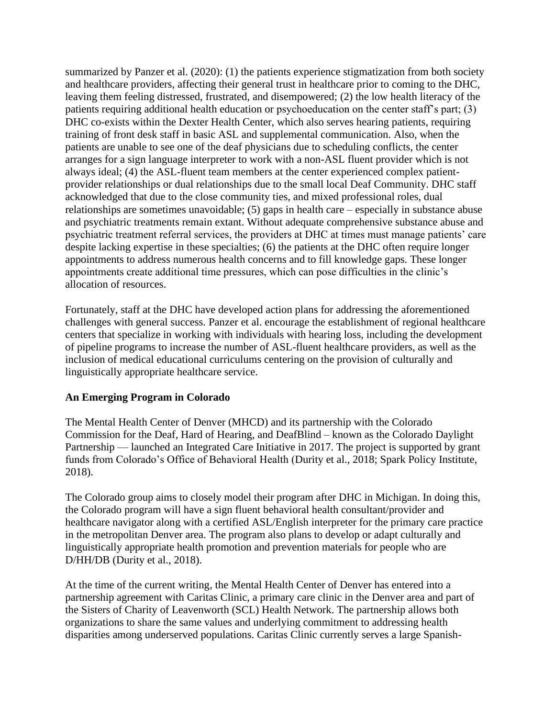summarized by Panzer et al. (2020): (1) the patients experience stigmatization from both society and healthcare providers, affecting their general trust in healthcare prior to coming to the DHC, leaving them feeling distressed, frustrated, and disempowered; (2) the low health literacy of the patients requiring additional health education or psychoeducation on the center staff's part; (3) DHC co-exists within the Dexter Health Center, which also serves hearing patients, requiring training of front desk staff in basic ASL and supplemental communication. Also, when the patients are unable to see one of the deaf physicians due to scheduling conflicts, the center arranges for a sign language interpreter to work with a non-ASL fluent provider which is not always ideal; (4) the ASL-fluent team members at the center experienced complex patientprovider relationships or dual relationships due to the small local Deaf Community. DHC staff acknowledged that due to the close community ties, and mixed professional roles, dual relationships are sometimes unavoidable; (5) gaps in health care – especially in substance abuse and psychiatric treatments remain extant. Without adequate comprehensive substance abuse and psychiatric treatment referral services, the providers at DHC at times must manage patients' care despite lacking expertise in these specialties; (6) the patients at the DHC often require longer appointments to address numerous health concerns and to fill knowledge gaps. These longer appointments create additional time pressures, which can pose difficulties in the clinic's allocation of resources.

Fortunately, staff at the DHC have developed action plans for addressing the aforementioned challenges with general success. Panzer et al. encourage the establishment of regional healthcare centers that specialize in working with individuals with hearing loss, including the development of pipeline programs to increase the number of ASL-fluent healthcare providers, as well as the inclusion of medical educational curriculums centering on the provision of culturally and linguistically appropriate healthcare service.

# **An Emerging Program in Colorado**

The Mental Health Center of Denver (MHCD) and its partnership with the Colorado Commission for the Deaf, Hard of Hearing, and DeafBlind – known as the Colorado Daylight Partnership — launched an Integrated Care Initiative in 2017. The project is supported by grant funds from Colorado's Office of Behavioral Health (Durity et al., 2018; Spark Policy Institute, 2018).

The Colorado group aims to closely model their program after DHC in Michigan. In doing this, the Colorado program will have a sign fluent behavioral health consultant/provider and healthcare navigator along with a certified ASL/English interpreter for the primary care practice in the metropolitan Denver area. The program also plans to develop or adapt culturally and linguistically appropriate health promotion and prevention materials for people who are D/HH/DB (Durity et al., 2018).

At the time of the current writing, the Mental Health Center of Denver has entered into a partnership agreement with Caritas Clinic, a primary care clinic in the Denver area and part of the Sisters of Charity of Leavenworth (SCL) Health Network. The partnership allows both organizations to share the same values and underlying commitment to addressing health disparities among underserved populations. Caritas Clinic currently serves a large Spanish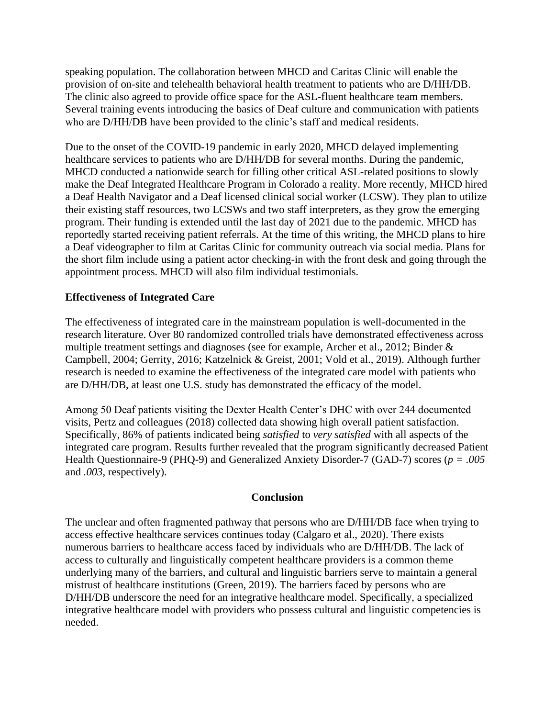speaking population. The collaboration between MHCD and Caritas Clinic will enable the provision of on-site and telehealth behavioral health treatment to patients who are D/HH/DB. The clinic also agreed to provide office space for the ASL-fluent healthcare team members. Several training events introducing the basics of Deaf culture and communication with patients who are D/HH/DB have been provided to the clinic's staff and medical residents.

Due to the onset of the COVID-19 pandemic in early 2020, MHCD delayed implementing healthcare services to patients who are D/HH/DB for several months. During the pandemic, MHCD conducted a nationwide search for filling other critical ASL-related positions to slowly make the Deaf Integrated Healthcare Program in Colorado a reality. More recently, MHCD hired a Deaf Health Navigator and a Deaf licensed clinical social worker (LCSW). They plan to utilize their existing staff resources, two LCSWs and two staff interpreters, as they grow the emerging program. Their funding is extended until the last day of 2021 due to the pandemic. MHCD has reportedly started receiving patient referrals. At the time of this writing, the MHCD plans to hire a Deaf videographer to film at Caritas Clinic for community outreach via social media. Plans for the short film include using a patient actor checking-in with the front desk and going through the appointment process. MHCD will also film individual testimonials.

### **Effectiveness of Integrated Care**

The effectiveness of integrated care in the mainstream population is well-documented in the research literature. Over 80 randomized controlled trials have demonstrated effectiveness across multiple treatment settings and diagnoses (see for example, Archer et al., 2012; Binder & Campbell, 2004; Gerrity, 2016; Katzelnick & Greist, 2001; Vold et al., 2019). Although further research is needed to examine the effectiveness of the integrated care model with patients who are D/HH/DB, at least one U.S. study has demonstrated the efficacy of the model.

Among 50 Deaf patients visiting the Dexter Health Center's DHC with over 244 documented visits, Pertz and colleagues (2018) collected data showing high overall patient satisfaction. Specifically, 86% of patients indicated being *satisfied* to *very satisfied* with all aspects of the integrated care program. Results further revealed that the program significantly decreased Patient Health Questionnaire-9 (PHQ-9) and Generalized Anxiety Disorder-7 (GAD-7) scores (*p = .005*  and *.003*, respectively).

### **Conclusion**

The unclear and often fragmented pathway that persons who are D/HH/DB face when trying to access effective healthcare services continues today (Calgaro et al., 2020). There exists numerous barriers to healthcare access faced by individuals who are D/HH/DB. The lack of access to culturally and linguistically competent healthcare providers is a common theme underlying many of the barriers, and cultural and linguistic barriers serve to maintain a general mistrust of healthcare institutions (Green, 2019). The barriers faced by persons who are D/HH/DB underscore the need for an integrative healthcare model. Specifically, a specialized integrative healthcare model with providers who possess cultural and linguistic competencies is needed.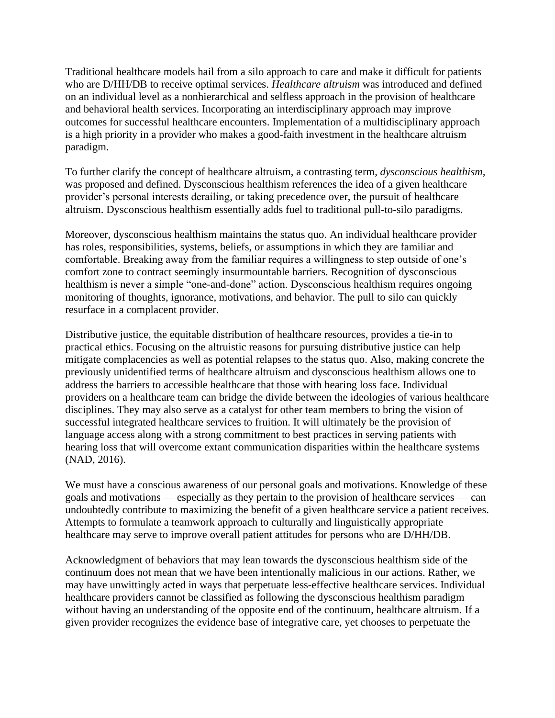Traditional healthcare models hail from a silo approach to care and make it difficult for patients who are D/HH/DB to receive optimal services. *Healthcare altruism* was introduced and defined on an individual level as a nonhierarchical and selfless approach in the provision of healthcare and behavioral health services. Incorporating an interdisciplinary approach may improve outcomes for successful healthcare encounters. Implementation of a multidisciplinary approach is a high priority in a provider who makes a good-faith investment in the healthcare altruism paradigm.

To further clarify the concept of healthcare altruism, a contrasting term, *dysconscious healthism,* was proposed and defined. Dysconscious healthism references the idea of a given healthcare provider's personal interests derailing, or taking precedence over, the pursuit of healthcare altruism. Dysconscious healthism essentially adds fuel to traditional pull-to-silo paradigms.

Moreover, dysconscious healthism maintains the status quo. An individual healthcare provider has roles, responsibilities, systems, beliefs, or assumptions in which they are familiar and comfortable. Breaking away from the familiar requires a willingness to step outside of one's comfort zone to contract seemingly insurmountable barriers. Recognition of dysconscious healthism is never a simple "one-and-done" action. Dysconscious healthism requires ongoing monitoring of thoughts, ignorance, motivations, and behavior. The pull to silo can quickly resurface in a complacent provider.

Distributive justice, the equitable distribution of healthcare resources, provides a tie-in to practical ethics. Focusing on the altruistic reasons for pursuing distributive justice can help mitigate complacencies as well as potential relapses to the status quo. Also, making concrete the previously unidentified terms of healthcare altruism and dysconscious healthism allows one to address the barriers to accessible healthcare that those with hearing loss face. Individual providers on a healthcare team can bridge the divide between the ideologies of various healthcare disciplines. They may also serve as a catalyst for other team members to bring the vision of successful integrated healthcare services to fruition. It will ultimately be the provision of language access along with a strong commitment to best practices in serving patients with hearing loss that will overcome extant communication disparities within the healthcare systems (NAD, 2016).

We must have a conscious awareness of our personal goals and motivations. Knowledge of these goals and motivations — especially as they pertain to the provision of healthcare services — can undoubtedly contribute to maximizing the benefit of a given healthcare service a patient receives. Attempts to formulate a teamwork approach to culturally and linguistically appropriate healthcare may serve to improve overall patient attitudes for persons who are D/HH/DB.

Acknowledgment of behaviors that may lean towards the dysconscious healthism side of the continuum does not mean that we have been intentionally malicious in our actions. Rather, we may have unwittingly acted in ways that perpetuate less-effective healthcare services. Individual healthcare providers cannot be classified as following the dysconscious healthism paradigm without having an understanding of the opposite end of the continuum, healthcare altruism. If a given provider recognizes the evidence base of integrative care, yet chooses to perpetuate the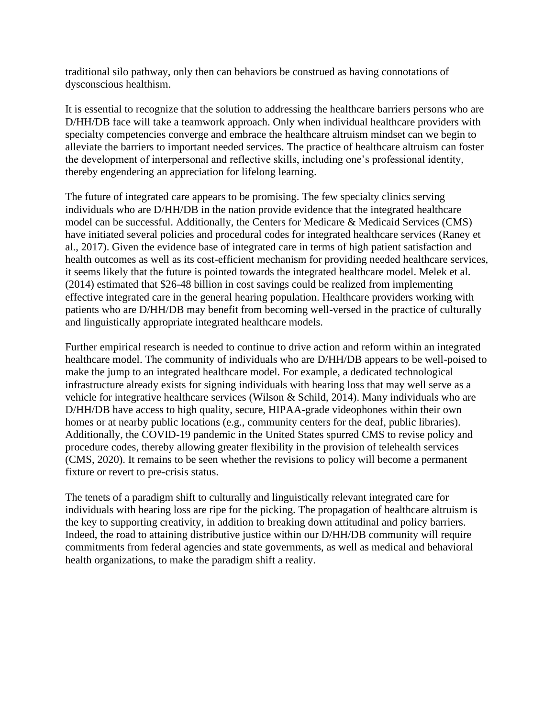traditional silo pathway, only then can behaviors be construed as having connotations of dysconscious healthism.

It is essential to recognize that the solution to addressing the healthcare barriers persons who are D/HH/DB face will take a teamwork approach. Only when individual healthcare providers with specialty competencies converge and embrace the healthcare altruism mindset can we begin to alleviate the barriers to important needed services. The practice of healthcare altruism can foster the development of interpersonal and reflective skills, including one's professional identity, thereby engendering an appreciation for lifelong learning.

The future of integrated care appears to be promising. The few specialty clinics serving individuals who are D/HH/DB in the nation provide evidence that the integrated healthcare model can be successful. Additionally, the Centers for Medicare & Medicaid Services (CMS) have initiated several policies and procedural codes for integrated healthcare services (Raney et al., 2017). Given the evidence base of integrated care in terms of high patient satisfaction and health outcomes as well as its cost-efficient mechanism for providing needed healthcare services, it seems likely that the future is pointed towards the integrated healthcare model. Melek et al. (2014) estimated that \$26-48 billion in cost savings could be realized from implementing effective integrated care in the general hearing population. Healthcare providers working with patients who are D/HH/DB may benefit from becoming well-versed in the practice of culturally and linguistically appropriate integrated healthcare models.

Further empirical research is needed to continue to drive action and reform within an integrated healthcare model. The community of individuals who are D/HH/DB appears to be well-poised to make the jump to an integrated healthcare model. For example, a dedicated technological infrastructure already exists for signing individuals with hearing loss that may well serve as a vehicle for integrative healthcare services (Wilson & Schild, 2014). Many individuals who are D/HH/DB have access to high quality, secure, HIPAA-grade videophones within their own homes or at nearby public locations (e.g., community centers for the deaf, public libraries). Additionally, the COVID-19 pandemic in the United States spurred CMS to revise policy and procedure codes, thereby allowing greater flexibility in the provision of telehealth services (CMS, 2020). It remains to be seen whether the revisions to policy will become a permanent fixture or revert to pre-crisis status.

The tenets of a paradigm shift to culturally and linguistically relevant integrated care for individuals with hearing loss are ripe for the picking. The propagation of healthcare altruism is the key to supporting creativity, in addition to breaking down attitudinal and policy barriers. Indeed, the road to attaining distributive justice within our D/HH/DB community will require commitments from federal agencies and state governments, as well as medical and behavioral health organizations, to make the paradigm shift a reality.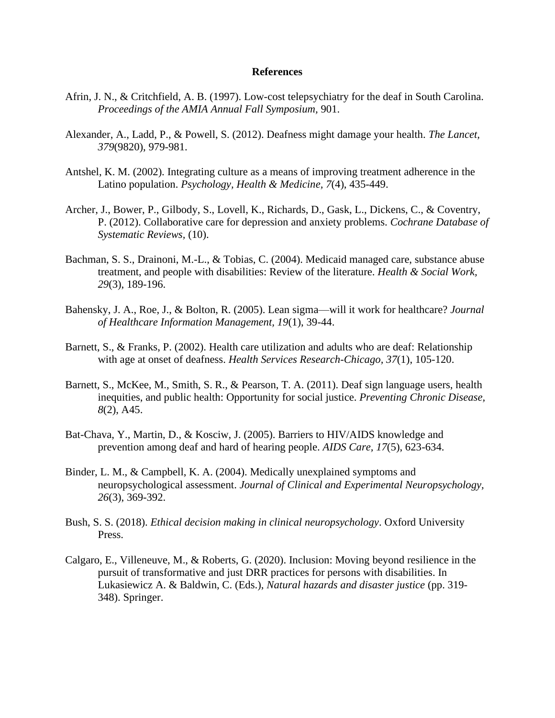#### **References**

- Afrin, J. N., & Critchfield, A. B. (1997). Low-cost telepsychiatry for the deaf in South Carolina. *Proceedings of the AMIA Annual Fall Symposium,* 901.
- Alexander, A., Ladd, P., & Powell, S. (2012). Deafness might damage your health. *The Lancet, 379*(9820), 979-981.
- Antshel, K. M. (2002). Integrating culture as a means of improving treatment adherence in the Latino population. *Psychology, Health & Medicine, 7*(4), 435-449.
- Archer, J., Bower, P., Gilbody, S., Lovell, K., Richards, D., Gask, L., Dickens, C., & Coventry, P. (2012). Collaborative care for depression and anxiety problems. *Cochrane Database of Systematic Reviews,* (10).
- Bachman, S. S., Drainoni, M.-L., & Tobias, C. (2004). Medicaid managed care, substance abuse treatment, and people with disabilities: Review of the literature. *Health & Social Work, 29*(3), 189-196.
- Bahensky, J. A., Roe, J., & Bolton, R. (2005). Lean sigma—will it work for healthcare? *Journal of Healthcare Information Management, 19*(1), 39-44.
- Barnett, S., & Franks, P. (2002). Health care utilization and adults who are deaf: Relationship with age at onset of deafness. *Health Services Research-Chicago, 37*(1), 105-120.
- Barnett, S., McKee, M., Smith, S. R., & Pearson, T. A. (2011). Deaf sign language users, health inequities, and public health: Opportunity for social justice. *Preventing Chronic Disease, 8*(2), A45.
- Bat-Chava, Y., Martin, D., & Kosciw, J. (2005). Barriers to HIV/AIDS knowledge and prevention among deaf and hard of hearing people. *AIDS Care, 17*(5), 623-634.
- Binder, L. M., & Campbell, K. A. (2004). Medically unexplained symptoms and neuropsychological assessment. *Journal of Clinical and Experimental Neuropsychology, 26*(3), 369-392.
- Bush, S. S. (2018). *Ethical decision making in clinical neuropsychology*. Oxford University Press.
- Calgaro, E., Villeneuve, M., & Roberts, G. (2020). Inclusion: Moving beyond resilience in the pursuit of transformative and just DRR practices for persons with disabilities. In Lukasiewicz A. & Baldwin, C. (Eds.), *Natural hazards and disaster justice* (pp. 319- 348). Springer.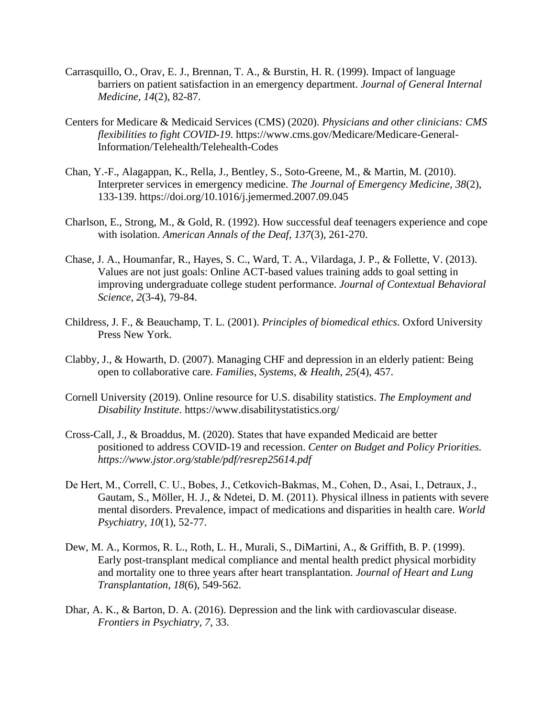- Carrasquillo, O., Orav, E. J., Brennan, T. A., & Burstin, H. R. (1999). Impact of language barriers on patient satisfaction in an emergency department. *Journal of General Internal Medicine, 14*(2), 82-87.
- Centers for Medicare & Medicaid Services (CMS) (2020). *Physicians and other clinicians: CMS flexibilities to fight COVID-19*. https://www.cms.gov/Medicare/Medicare-General-Information/Telehealth/Telehealth-Codes
- Chan, Y.-F., Alagappan, K., Rella, J., Bentley, S., Soto-Greene, M., & Martin, M. (2010). Interpreter services in emergency medicine. *The Journal of Emergency Medicine, 38*(2), 133-139. https://doi.org/10.1016/j.jemermed.2007.09.045
- Charlson, E., Strong, M., & Gold, R. (1992). How successful deaf teenagers experience and cope with isolation. *American Annals of the Deaf, 137*(3), 261-270.
- Chase, J. A., Houmanfar, R., Hayes, S. C., Ward, T. A., Vilardaga, J. P., & Follette, V. (2013). Values are not just goals: Online ACT-based values training adds to goal setting in improving undergraduate college student performance. *Journal of Contextual Behavioral Science, 2*(3-4), 79-84.
- Childress, J. F., & Beauchamp, T. L. (2001). *Principles of biomedical ethics*. Oxford University Press New York.
- Clabby, J., & Howarth, D. (2007). Managing CHF and depression in an elderly patient: Being open to collaborative care. *Families, Systems, & Health, 25*(4), 457.
- Cornell University (2019). Online resource for U.S. disability statistics. *The Employment and Disability Institute*. https://www.disabilitystatistics.org/
- Cross-Call, J., & Broaddus, M. (2020). States that have expanded Medicaid are better positioned to address COVID-19 and recession. *Center on Budget and Policy Priorities. https://www.jstor.org/stable/pdf/resrep25614.pdf*
- De Hert, M., Correll, C. U., Bobes, J., Cetkovich‐Bakmas, M., Cohen, D., Asai, I., Detraux, J., Gautam, S., Möller, H. J., & Ndetei, D. M. (2011). Physical illness in patients with severe mental disorders. Prevalence, impact of medications and disparities in health care. *World Psychiatry, 10*(1), 52-77.
- Dew, M. A., Kormos, R. L., Roth, L. H., Murali, S., DiMartini, A., & Griffith, B. P. (1999). Early post-transplant medical compliance and mental health predict physical morbidity and mortality one to three years after heart transplantation. *Journal of Heart and Lung Transplantation, 18*(6), 549-562.
- Dhar, A. K., & Barton, D. A. (2016). Depression and the link with cardiovascular disease. *Frontiers in Psychiatry, 7*, 33.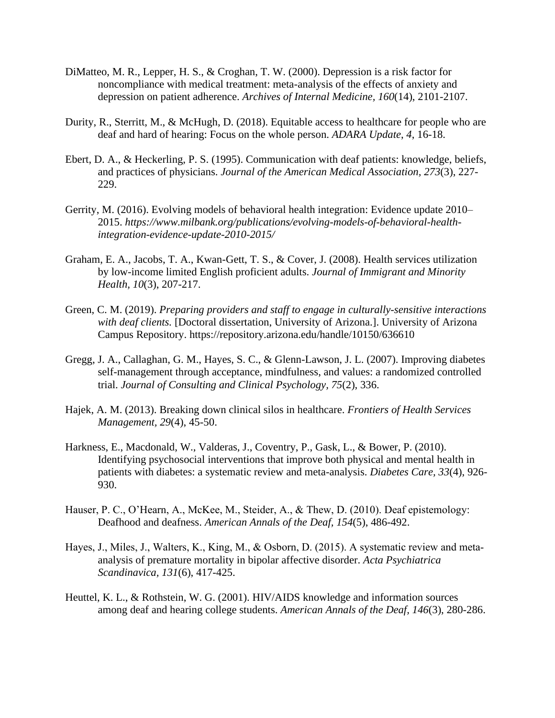- DiMatteo, M. R., Lepper, H. S., & Croghan, T. W. (2000). Depression is a risk factor for noncompliance with medical treatment: meta-analysis of the effects of anxiety and depression on patient adherence. *Archives of Internal Medicine, 160*(14), 2101-2107.
- Durity, R., Sterritt, M., & McHugh, D. (2018). Equitable access to healthcare for people who are deaf and hard of hearing: Focus on the whole person. *ADARA Update*, *4*, 16-18.
- Ebert, D. A., & Heckerling, P. S. (1995). Communication with deaf patients: knowledge, beliefs, and practices of physicians. *Journal of the American Medical Association, 273*(3), 227- 229.
- Gerrity, M. (2016). Evolving models of behavioral health integration: Evidence update 2010– 2015. *https://www.milbank.org/publications/evolving-models-of-behavioral-healthintegration-evidence-update-2010-2015/*
- Graham, E. A., Jacobs, T. A., Kwan-Gett, T. S., & Cover, J. (2008). Health services utilization by low-income limited English proficient adults. *Journal of Immigrant and Minority Health, 10*(3), 207-217.
- Green, C. M. (2019). *Preparing providers and staff to engage in culturally-sensitive interactions with deaf clients.* [Doctoral dissertation, University of Arizona.]. University of Arizona Campus Repository. https://repository.arizona.edu/handle/10150/636610
- Gregg, J. A., Callaghan, G. M., Hayes, S. C., & Glenn-Lawson, J. L. (2007). Improving diabetes self-management through acceptance, mindfulness, and values: a randomized controlled trial. *Journal of Consulting and Clinical Psychology, 75*(2), 336.
- Hajek, A. M. (2013). Breaking down clinical silos in healthcare. *Frontiers of Health Services Management, 29*(4), 45-50.
- Harkness, E., Macdonald, W., Valderas, J., Coventry, P., Gask, L., & Bower, P. (2010). Identifying psychosocial interventions that improve both physical and mental health in patients with diabetes: a systematic review and meta-analysis. *Diabetes Care, 33*(4), 926- 930.
- Hauser, P. C., O'Hearn, A., McKee, M., Steider, A., & Thew, D. (2010). Deaf epistemology: Deafhood and deafness. *American Annals of the Deaf, 154*(5), 486-492.
- Hayes, J., Miles, J., Walters, K., King, M., & Osborn, D. (2015). A systematic review and meta‐ analysis of premature mortality in bipolar affective disorder. *Acta Psychiatrica Scandinavica, 131*(6), 417-425.
- Heuttel, K. L., & Rothstein, W. G. (2001). HIV/AIDS knowledge and information sources among deaf and hearing college students. *American Annals of the Deaf, 146*(3), 280-286.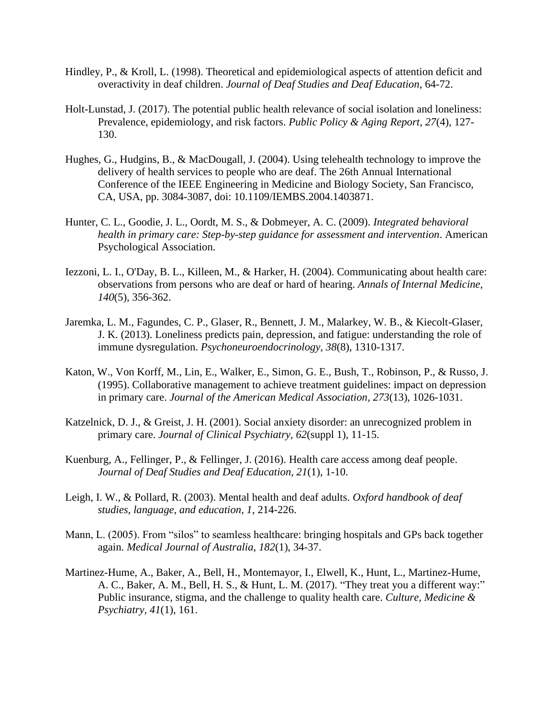- Hindley, P., & Kroll, L. (1998). Theoretical and epidemiological aspects of attention deficit and overactivity in deaf children. *Journal of Deaf Studies and Deaf Education*, 64-72.
- Holt-Lunstad, J. (2017). The potential public health relevance of social isolation and loneliness: Prevalence, epidemiology, and risk factors. *Public Policy & Aging Report, 27*(4), 127- 130.
- Hughes, G., Hudgins, B., & MacDougall, J. (2004). Using telehealth technology to improve the delivery of health services to people who are deaf. The 26th Annual International Conference of the IEEE Engineering in Medicine and Biology Society, San Francisco, CA, USA, pp. 3084-3087, doi: 10.1109/IEMBS.2004.1403871.
- Hunter, C. L., Goodie, J. L., Oordt, M. S., & Dobmeyer, A. C. (2009). *Integrated behavioral health in primary care: Step-by-step guidance for assessment and intervention*. American Psychological Association.
- Iezzoni, L. I., O'Day, B. L., Killeen, M., & Harker, H. (2004). Communicating about health care: observations from persons who are deaf or hard of hearing. *Annals of Internal Medicine, 140*(5), 356-362.
- Jaremka, L. M., Fagundes, C. P., Glaser, R., Bennett, J. M., Malarkey, W. B., & Kiecolt-Glaser, J. K. (2013). Loneliness predicts pain, depression, and fatigue: understanding the role of immune dysregulation. *Psychoneuroendocrinology, 38*(8), 1310-1317.
- Katon, W., Von Korff, M., Lin, E., Walker, E., Simon, G. E., Bush, T., Robinson, P., & Russo, J. (1995). Collaborative management to achieve treatment guidelines: impact on depression in primary care. *Journal of the American Medical Association, 273*(13), 1026-1031.
- Katzelnick, D. J., & Greist, J. H. (2001). Social anxiety disorder: an unrecognized problem in primary care. *Journal of Clinical Psychiatry, 62*(suppl 1), 11-15.
- Kuenburg, A., Fellinger, P., & Fellinger, J. (2016). Health care access among deaf people. *Journal of Deaf Studies and Deaf Education, 21*(1), 1-10.
- Leigh, I. W., & Pollard, R. (2003). Mental health and deaf adults. *Oxford handbook of deaf studies, language, and education, 1*, 214-226.
- Mann, L. (2005). From "silos" to seamless healthcare: bringing hospitals and GPs back together again. *Medical Journal of Australia, 182*(1), 34-37.
- Martinez-Hume, A., Baker, A., Bell, H., Montemayor, I., Elwell, K., Hunt, L., Martinez-Hume, A. C., Baker, A. M., Bell, H. S., & Hunt, L. M. (2017). "They treat you a different way:" Public insurance, stigma, and the challenge to quality health care. *Culture, Medicine & Psychiatry, 41*(1), 161.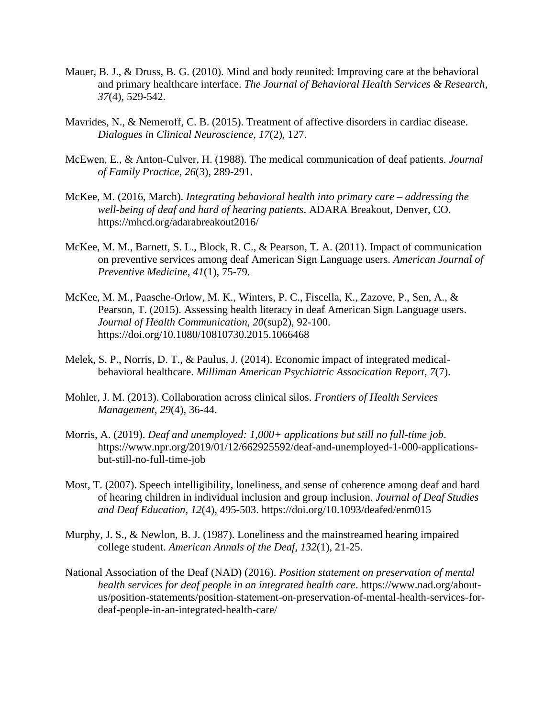- Mauer, B. J., & Druss, B. G. (2010). Mind and body reunited: Improving care at the behavioral and primary healthcare interface. *The Journal of Behavioral Health Services & Research, 37*(4), 529-542.
- Mavrides, N., & Nemeroff, C. B. (2015). Treatment of affective disorders in cardiac disease. *Dialogues in Clinical Neuroscience, 17*(2), 127.
- McEwen, E., & Anton-Culver, H. (1988). The medical communication of deaf patients. *Journal of Family Practice, 26*(3), 289-291.
- McKee, M. (2016, March). *Integrating behavioral health into primary care – addressing the well-being of deaf and hard of hearing patients*. ADARA Breakout, Denver, CO. https://mhcd.org/adarabreakout2016/
- McKee, M. M., Barnett, S. L., Block, R. C., & Pearson, T. A. (2011). Impact of communication on preventive services among deaf American Sign Language users. *American Journal of Preventive Medicine, 41*(1), 75-79.
- McKee, M. M., Paasche-Orlow, M. K., Winters, P. C., Fiscella, K., Zazove, P., Sen, A., & Pearson, T. (2015). Assessing health literacy in deaf American Sign Language users. *Journal of Health Communication, 20*(sup2), 92-100. https://doi.org/10.1080/10810730.2015.1066468
- Melek, S. P., Norris, D. T., & Paulus, J. (2014). Economic impact of integrated medicalbehavioral healthcare. *Milliman American Psychiatric Assocication Report, 7*(7).
- Mohler, J. M. (2013). Collaboration across clinical silos. *Frontiers of Health Services Management, 29*(4), 36-44.
- Morris, A. (2019). *Deaf and unemployed: 1,000+ applications but still no full-time job*. [https://www.npr.org/2019/01/12/662925592/deaf-and-unemployed-1-000-applications](https://www.npr.org/2019/01/12/662925592/deaf-and-unemployed-1-000-applications-but-still-no-full-time-job)[but-still-no-full-time-job](https://www.npr.org/2019/01/12/662925592/deaf-and-unemployed-1-000-applications-but-still-no-full-time-job)
- Most, T. (2007). Speech intelligibility, loneliness, and sense of coherence among deaf and hard of hearing children in individual inclusion and group inclusion. *Journal of Deaf Studies and Deaf Education, 12*(4), 495-503. https://doi.org/10.1093/deafed/enm015
- Murphy, J. S., & Newlon, B. J. (1987). Loneliness and the mainstreamed hearing impaired college student. *American Annals of the Deaf, 132*(1), 21-25.
- National Association of the Deaf (NAD) (2016). *Position statement on preservation of mental health services for deaf people in an integrated health care*. https://www.nad.org/aboutus/position-statements/position-statement-on-preservation-of-mental-health-services-fordeaf-people-in-an-integrated-health-care/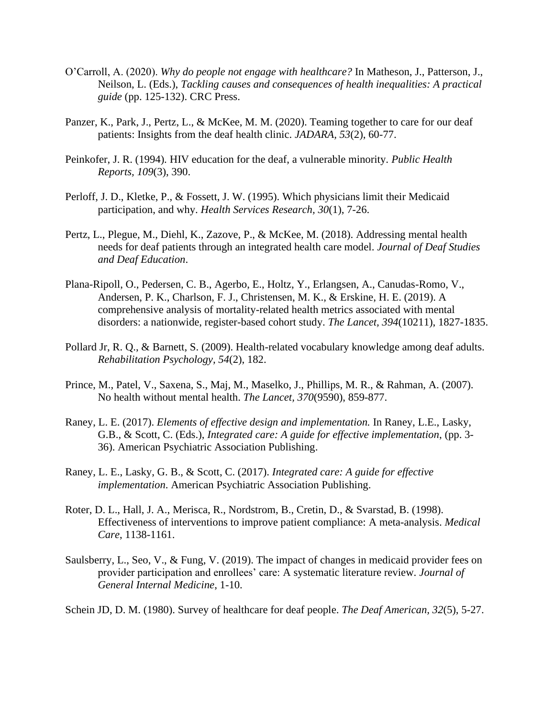- O'Carroll, A. (2020). *Why do people not engage with healthcare?* In Matheson, J., Patterson, J., Neilson, L. (Eds.), *Tackling causes and consequences of health inequalities: A practical guide* (pp. 125-132). CRC Press.
- Panzer, K., Park, J., Pertz, L., & McKee, M. M. (2020). Teaming together to care for our deaf patients: Insights from the deaf health clinic. *JADARA, 53*(2), 60-77.
- Peinkofer, J. R. (1994). HIV education for the deaf, a vulnerable minority. *Public Health Reports, 109*(3), 390.
- Perloff, J. D., Kletke, P., & Fossett, J. W. (1995). Which physicians limit their Medicaid participation, and why. *Health Services Research, 30*(1), 7-26.
- Pertz, L., Plegue, M., Diehl, K., Zazove, P., & McKee, M. (2018). Addressing mental health needs for deaf patients through an integrated health care model. *Journal of Deaf Studies and Deaf Education*.
- Plana-Ripoll, O., Pedersen, C. B., Agerbo, E., Holtz, Y., Erlangsen, A., Canudas-Romo, V., Andersen, P. K., Charlson, F. J., Christensen, M. K., & Erskine, H. E. (2019). A comprehensive analysis of mortality-related health metrics associated with mental disorders: a nationwide, register-based cohort study. *The Lancet, 394*(10211), 1827-1835.
- Pollard Jr, R. Q., & Barnett, S. (2009). Health-related vocabulary knowledge among deaf adults. *Rehabilitation Psychology, 54*(2), 182.
- Prince, M., Patel, V., Saxena, S., Maj, M., Maselko, J., Phillips, M. R., & Rahman, A. (2007). No health without mental health. *The Lancet, 370*(9590), 859-877.
- Raney, L. E. (2017). *Elements of effective design and implementation.* In Raney, L.E., Lasky, G.B., & Scott, C. (Eds.), *Integrated care: A guide for effective implementation*, (pp. 3- 36). American Psychiatric Association Publishing.
- Raney, L. E., Lasky, G. B., & Scott, C. (2017). *Integrated care: A guide for effective implementation*. American Psychiatric Association Publishing.
- Roter, D. L., Hall, J. A., Merisca, R., Nordstrom, B., Cretin, D., & Svarstad, B. (1998). Effectiveness of interventions to improve patient compliance: A meta-analysis. *Medical Care*, 1138-1161.
- Saulsberry, L., Seo, V., & Fung, V. (2019). The impact of changes in medicaid provider fees on provider participation and enrollees' care: A systematic literature review. *Journal of General Internal Medicine*, 1-10.

Schein JD, D. M. (1980). Survey of healthcare for deaf people. *The Deaf American, 32*(5), 5-27.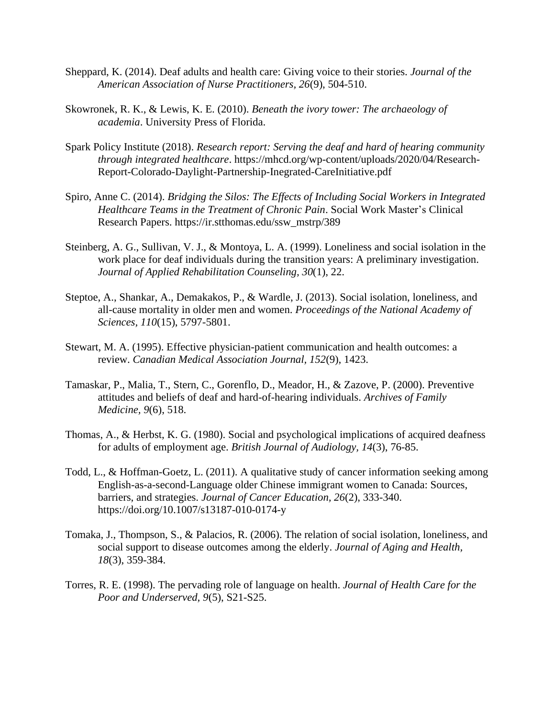- Sheppard, K. (2014). Deaf adults and health care: Giving voice to their stories. *Journal of the American Association of Nurse Practitioners, 26*(9), 504-510.
- Skowronek, R. K., & Lewis, K. E. (2010). *Beneath the ivory tower: The archaeology of academia*. University Press of Florida.
- Spark Policy Institute (2018). *Research report: Serving the deaf and hard of hearing community through integrated healthcare*. https://mhcd.org/wp-content/uploads/2020/04/Research-Report-Colorado-Daylight-Partnership-Inegrated-CareInitiative.pdf
- Spiro, Anne C. (2014). *Bridging the Silos: The Effects of Including Social Workers in Integrated Healthcare Teams in the Treatment of Chronic Pain*. Social Work Master's Clinical Research Papers. https://ir.stthomas.edu/ssw\_mstrp/389
- Steinberg, A. G., Sullivan, V. J., & Montoya, L. A. (1999). Loneliness and social isolation in the work place for deaf individuals during the transition years: A preliminary investigation. *Journal of Applied Rehabilitation Counseling, 30*(1), 22.
- Steptoe, A., Shankar, A., Demakakos, P., & Wardle, J. (2013). Social isolation, loneliness, and all-cause mortality in older men and women. *Proceedings of the National Academy of Sciences, 110*(15), 5797-5801.
- Stewart, M. A. (1995). Effective physician-patient communication and health outcomes: a review. *Canadian Medical Association Journal, 152*(9), 1423.
- Tamaskar, P., Malia, T., Stern, C., Gorenflo, D., Meador, H., & Zazove, P. (2000). Preventive attitudes and beliefs of deaf and hard-of-hearing individuals. *Archives of Family Medicine, 9*(6), 518.
- Thomas, A., & Herbst, K. G. (1980). Social and psychological implications of acquired deafness for adults of employment age. *British Journal of Audiology, 14*(3), 76-85.
- Todd, L., & Hoffman-Goetz, L. (2011). A qualitative study of cancer information seeking among English-as-a-second-Language older Chinese immigrant women to Canada: Sources, barriers, and strategies. *Journal of Cancer Education, 26*(2), 333-340. https://doi.org/10.1007/s13187-010-0174-y
- Tomaka, J., Thompson, S., & Palacios, R. (2006). The relation of social isolation, loneliness, and social support to disease outcomes among the elderly. *Journal of Aging and Health, 18*(3), 359-384.
- Torres, R. E. (1998). The pervading role of language on health. *Journal of Health Care for the Poor and Underserved, 9*(5), S21-S25.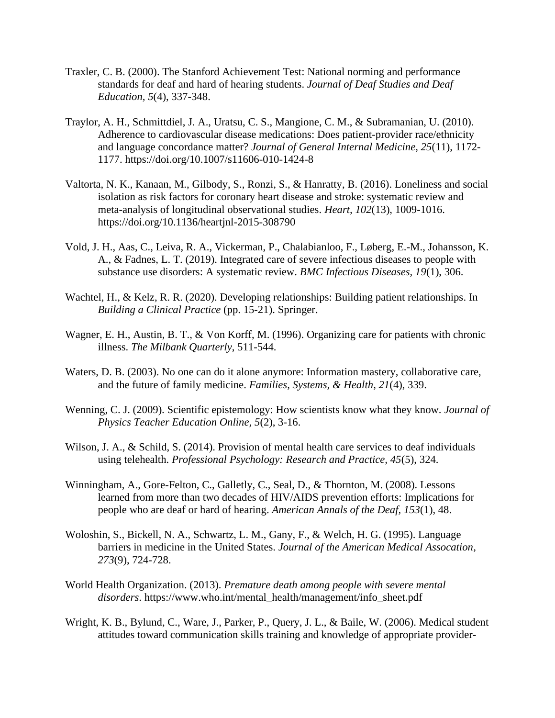- Traxler, C. B. (2000). The Stanford Achievement Test: National norming and performance standards for deaf and hard of hearing students. *Journal of Deaf Studies and Deaf Education, 5*(4), 337-348.
- Traylor, A. H., Schmittdiel, J. A., Uratsu, C. S., Mangione, C. M., & Subramanian, U. (2010). Adherence to cardiovascular disease medications: Does patient-provider race/ethnicity and language concordance matter? *Journal of General Internal Medicine, 25*(11), 1172- 1177. https://doi.org/10.1007/s11606-010-1424-8
- Valtorta, N. K., Kanaan, M., Gilbody, S., Ronzi, S., & Hanratty, B. (2016). Loneliness and social isolation as risk factors for coronary heart disease and stroke: systematic review and meta-analysis of longitudinal observational studies. *Heart, 102*(13), 1009-1016. https://doi.org/10.1136/heartjnl-2015-308790
- Vold, J. H., Aas, C., Leiva, R. A., Vickerman, P., Chalabianloo, F., Løberg, E.-M., Johansson, K. A., & Fadnes, L. T. (2019). Integrated care of severe infectious diseases to people with substance use disorders: A systematic review. *BMC Infectious Diseases, 19*(1), 306.
- Wachtel, H., & Kelz, R. R. (2020). Developing relationships: Building patient relationships. In *Building a Clinical Practice* (pp. 15-21). Springer.
- Wagner, E. H., Austin, B. T., & Von Korff, M. (1996). Organizing care for patients with chronic illness. *The Milbank Quarterly*, 511-544.
- Waters, D. B. (2003). No one can do it alone anymore: Information mastery, collaborative care, and the future of family medicine. *Families, Systems, & Health, 21*(4), 339.
- Wenning, C. J. (2009). Scientific epistemology: How scientists know what they know. *Journal of Physics Teacher Education Online, 5*(2), 3-16.
- Wilson, J. A., & Schild, S. (2014). Provision of mental health care services to deaf individuals using telehealth. *Professional Psychology: Research and Practice, 45*(5), 324.
- Winningham, A., Gore-Felton, C., Galletly, C., Seal, D., & Thornton, M. (2008). Lessons learned from more than two decades of HIV/AIDS prevention efforts: Implications for people who are deaf or hard of hearing. *American Annals of the Deaf, 153*(1), 48.
- Woloshin, S., Bickell, N. A., Schwartz, L. M., Gany, F., & Welch, H. G. (1995). Language barriers in medicine in the United States. *Journal of the American Medical Assocation, 273*(9), 724-728.
- World Health Organization. (2013). *Premature death among people with severe mental disorders*. https://www.who.int/mental\_health/management/info\_sheet.pdf
- Wright, K. B., Bylund, C., Ware, J., Parker, P., Query, J. L., & Baile, W. (2006). Medical student attitudes toward communication skills training and knowledge of appropriate provider-